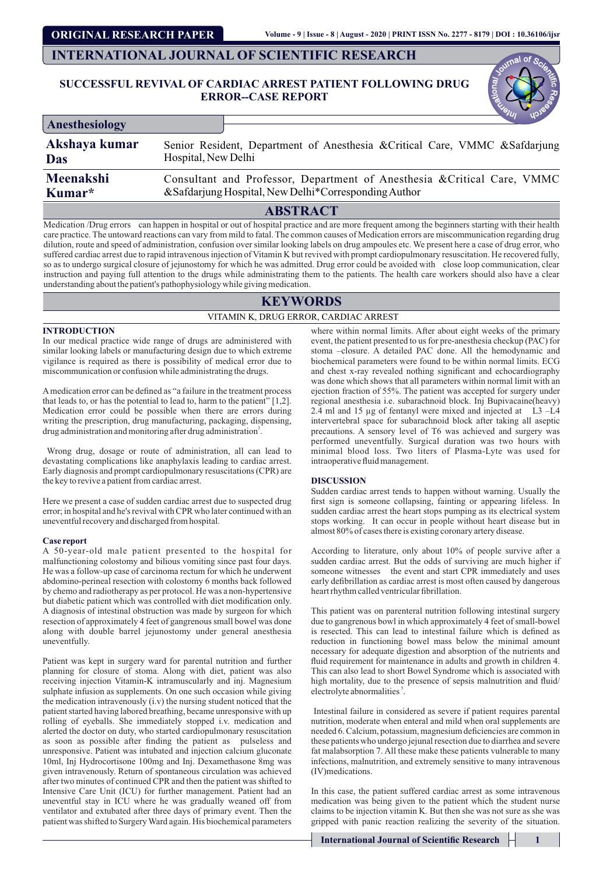**ORIGINAL RESEARCH PAPER**

## **INTERNATIONAL JOURNAL OF SCIENTIFIC RESEARCH**

## **SUCCESSFUL REVIVAL OF CARDIAC ARREST PATIENT FOLLOWING DRUG ERROR--CASE REPORT**

| Anesthesiology |                                                                              |
|----------------|------------------------------------------------------------------------------|
| Akshaya kumar  | Senior Resident, Department of Anesthesia & Critical Care, VMMC & Safdarjung |
| Das            | Hospital, New Delhi                                                          |
| Meenakshi      | Consultant and Professor, Department of Anesthesia & Critical Care, VMMC     |
| Kumar*         | &Safdarjung Hospital, New Delhi*Corresponding Author                         |

## **ABSTRACT**

Medication /Drug errors can happen in hospital or out of hospital practice and are more frequent among the beginners starting with their health care practice. The untoward reactions can vary from mild to fatal. The common causes of Medication errors are miscommunication regarding drug dilution, route and speed of administration, confusion over similar looking labels on drug ampoules etc. We present here a case of drug error, who suffered cardiac arrest due to rapid intravenous injection of Vitamin K but revived with prompt cardiopulmonary resuscitation. He recovered fully, so as to undergo surgical closure of jejunostomy for which he was admitted. Drug error could be avoided with close loop communication, clear instruction and paying full attention to the drugs while administrating them to the patients. The health care workers should also have a clear understanding about the patient's pathophysiology while giving medication.

# **KEYWORDS**

## VITAMIN K, DRUG ERROR, CARDIAC ARREST

### **INTRODUCTION**

In our medical practice wide range of drugs are administered with similar looking labels or manufacturing design due to which extreme vigilance is required as there is possibility of medical error due to miscommunication or confusion while administrating the drugs.

A medication error can be defined as "a failure in the treatment process that leads to, or has the potential to lead to, harm to the patient" [1,2]. Medication error could be possible when there are errors during writing the prescription, drug manufacturing, packaging, dispensing, drug administration and monitoring after drug administration<sup>3</sup>.

Wrong drug, dosage or route of administration, all can lead to devastating complications like anaphylaxis leading to cardiac arrest. Early diagnosis and prompt cardiopulmonary resuscitations (CPR) are the key to revive a patient from cardiac arrest.

Here we present a case of sudden cardiac arrest due to suspected drug error; in hospital and he's revival with CPR who later continued with an uneventful recovery and discharged from hospital.

#### **Case report**

A 50-year-old male patient presented to the hospital for malfunctioning colostomy and bilious vomiting since past four days. He was a follow-up case of carcinoma rectum for which he underwent abdomino-perineal resection with colostomy 6 months back followed by chemo and radiotherapy as per protocol. He was a non-hypertensive but diabetic patient which was controlled with diet modification only. A diagnosis of intestinal obstruction was made by surgeon for which resection of approximately 4 feet of gangrenous small bowel was done along with double barrel jejunostomy under general anesthesia uneventfully.

Patient was kept in surgery ward for parental nutrition and further planning for closure of stoma. Along with diet, patient was also receiving injection Vitamin-K intramuscularly and inj. Magnesium sulphate infusion as supplements. On one such occasion while giving the medication intravenously (i.v) the nursing student noticed that the patient started having labored breathing, became unresponsive with up rolling of eyeballs. She immediately stopped i.v. medication and alerted the doctor on duty, who started cardiopulmonary resuscitation as soon as possible after finding the patient as pulseless and unresponsive. Patient was intubated and injection calcium gluconate 10ml, Inj Hydrocortisone 100mg and Inj. Dexamethasone 8mg was given intravenously. Return of spontaneous circulation was achieved after two minutes of continued CPR and then the patient was shifted to Intensive Care Unit (ICU) for further management. Patient had an uneventful stay in ICU where he was gradually weaned off from ventilator and extubated after three days of primary event. Then the patient was shifted to Surgery Ward again. His biochemical parameters

where within normal limits. After about eight weeks of the primary event, the patient presented to us for pre-anesthesia checkup (PAC) for stoma –closure. A detailed PAC done. All the hemodynamic and biochemical parameters were found to be within normal limits. ECG and chest x-ray revealed nothing significant and echocardiography was done which shows that all parameters within normal limit with an ejection fraction of 55%. The patient was accepted for surgery under regional anesthesia i.e. subarachnoid block. Inj Bupivacaine(heavy) 2.4 ml and 15  $\mu$ g of fentanyl were mixed and injected at L3 –L4 intervertebral space for subarachnoid block after taking all aseptic precautions. A sensory level of T6 was achieved and surgery was performed uneventfully. Surgical duration was two hours with minimal blood loss. Two liters of Plasma-Lyte was used for intraoperative fluid management.

## **DISCUSSION**

Sudden cardiac arrest tends to happen without warning. Usually the first sign is someone collapsing, fainting or appearing lifeless. In sudden cardiac arrest the heart stops pumping as its electrical system stops working. It can occur in people without heart disease but in almost 80% of cases there is existing coronary artery disease.

According to literature, only about 10% of people survive after a sudden cardiac arrest. But the odds of surviving are much higher if someone witnesses the event and start CPR immediately and uses early defibrillation as cardiac arrest is most often caused by dangerous heart rhythm called ventricular fibrillation.

This patient was on parenteral nutrition following intestinal surgery due to gangrenous bowl in which approximately 4 feet of small-bowel is resected. This can lead to intestinal failure which is defined as reduction in functioning bowel mass below the minimal amount necessary for adequate digestion and absorption of the nutrients and fluid requirement for maintenance in adults and growth in children 4. This can also lead to short Bowel Syndrome which is associated with high mortality, due to the presence of sepsis malnutrition and fluid/ electrolyte abnormalities<sup>5</sup>.

Intestinal failure in considered as severe if patient requires parental nutrition, moderate when enteral and mild when oral supplements are needed 6. Calcium, potassium, magnesium deciencies are common in these patients who undergo jejunal resection due to diarrhea and severe fat malabsorption 7. All these make these patients vulnerable to many infections, malnutrition, and extremely sensitive to many intravenous (IV)medications.

In this case, the patient suffered cardiac arrest as some intravenous medication was being given to the patient which the student nurse claims to be injection vitamin K. But then she was not sure as she was gripped with panic reaction realizing the severity of the situation.